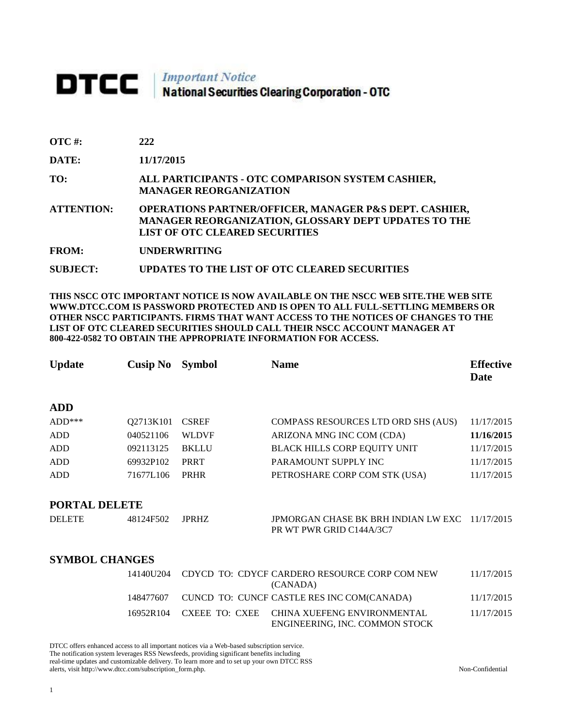## DTCC | Important Notice<br>National Securities Clearing Corporation - OTC

| <b>OTC</b> #: | 222 |
|---------------|-----|
|               |     |

**DATE: 11/17/2015**

**TO: ALL PARTICIPANTS - OTC COMPARISON SYSTEM CASHIER, MANAGER REORGANIZATION** 

**ATTENTION: OPERATIONS PARTNER/OFFICER, MANAGER P&S DEPT. CASHIER, MANAGER REORGANIZATION, GLOSSARY DEPT UPDATES TO THE LIST OF OTC CLEARED SECURITIES** 

**FROM: UNDERWRITING**

**SUBJECT: UPDATES TO THE LIST OF OTC CLEARED SECURITIES**

**THIS NSCC OTC IMPORTANT NOTICE IS NOW AVAILABLE ON THE NSCC WEB SITE.THE WEB SITE WWW.DTCC.COM IS PASSWORD PROTECTED AND IS OPEN TO ALL FULL-SETTLING MEMBERS OR OTHER NSCC PARTICIPANTS. FIRMS THAT WANT ACCESS TO THE NOTICES OF CHANGES TO THE LIST OF OTC CLEARED SECURITIES SHOULD CALL THEIR NSCC ACCOUNT MANAGER AT 800-422-0582 TO OBTAIN THE APPROPRIATE INFORMATION FOR ACCESS.** 

| <b>Update</b>         | Cusip No  | <b>Symbol</b> | <b>Name</b>                                                                | <b>Effective</b><br>Date |
|-----------------------|-----------|---------------|----------------------------------------------------------------------------|--------------------------|
| <b>ADD</b>            |           |               |                                                                            |                          |
| $ADD***$              | Q2713K101 | <b>CSREF</b>  | COMPASS RESOURCES LTD ORD SHS (AUS)                                        | 11/17/2015               |
| ADD                   | 040521106 | <b>WLDVF</b>  | ARIZONA MNG INC COM (CDA)                                                  | 11/16/2015               |
| <b>ADD</b>            | 092113125 | <b>BKLLU</b>  | <b>BLACK HILLS CORP EQUITY UNIT</b>                                        | 11/17/2015               |
| <b>ADD</b>            | 69932P102 | <b>PRRT</b>   | PARAMOUNT SUPPLY INC                                                       | 11/17/2015               |
| <b>ADD</b>            | 71677L106 | <b>PRHR</b>   | PETROSHARE CORP COM STK (USA)                                              | 11/17/2015               |
| PORTAL DELETE         |           |               |                                                                            |                          |
| <b>DELETE</b>         | 48124F502 | <b>JPRHZ</b>  | JPMORGAN CHASE BK BRH INDIAN LW EXC 11/17/2015<br>PR WT PWR GRID C144A/3C7 |                          |
| <b>SYMBOL CHANGES</b> |           |               |                                                                            |                          |
|                       | 14140U204 |               | CDYCD TO: CDYCF CARDERO RESOURCE CORP COM NEW<br>(CANADA)                  | 11/17/2015               |
|                       | 148477607 |               | CUNCD TO: CUNCF CASTLE RES INC COM(CANADA)                                 | 11/17/2015               |

16952R104 CXEEE TO: CXEE CHINA XUEFENG ENVIRONMENTAL ENGINEERING, INC. COMMON STOCK 11/17/2015

DTCC offers enhanced access to all important notices via a Web-based subscription service.

The notification system leverages RSS Newsfeeds, providing significant benefits including

real-time updates and customizable delivery. To learn more and to set up your own DTCC RSS alerts, visit http://www.dtcc.com/subscription\_form.php. Non-Confidential